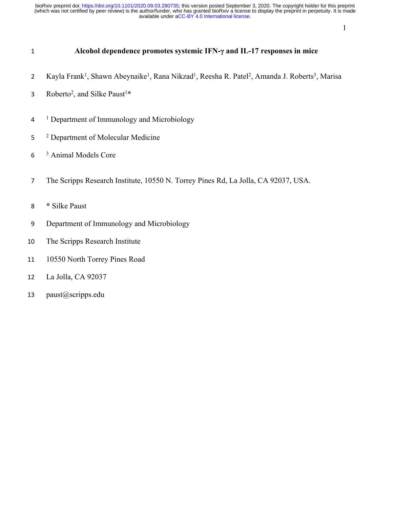## **Alcohol dependence promotes systemic IFN-γ and IL-17 responses in mice**

- 2 Kayla Frank<sup>1</sup>, Shawn Abeynaike<sup>1</sup>, Rana Nikzad<sup>1</sup>, Reesha R. Patel<sup>2</sup>, Amanda J. Roberts<sup>3</sup>, Marisa
- 3 Roberto<sup>2</sup>, and Silke Paust<sup>1\*</sup>
- <sup>1</sup> Department of Immunology and Microbiology
- Department of Molecular Medicine
- Animal Models Core
- The Scripps Research Institute, 10550 N. Torrey Pines Rd, La Jolla, CA 92037, USA.
- \* Silke Paust
- Department of Immunology and Microbiology
- The Scripps Research Institute
- 10550 North Torrey Pines Road
- La Jolla, CA 92037
- paust@scripps.edu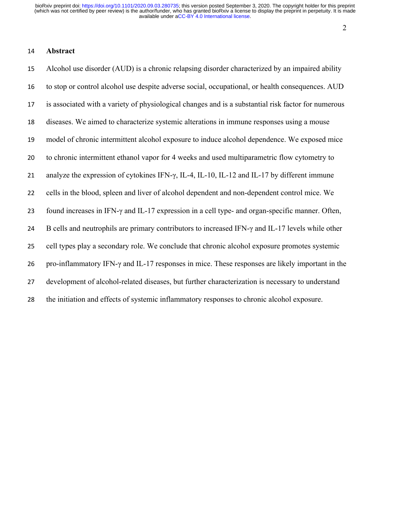#### 

#### **Abstract**

 Alcohol use disorder (AUD) is a chronic relapsing disorder characterized by an impaired ability to stop or control alcohol use despite adverse social, occupational, or health consequences. AUD is associated with a variety of physiological changes and is a substantial risk factor for numerous diseases. We aimed to characterize systemic alterations in immune responses using a mouse model of chronic intermittent alcohol exposure to induce alcohol dependence. We exposed mice to chronic intermittent ethanol vapor for 4 weeks and used multiparametric flow cytometry to analyze the expression of cytokines IFN-γ, IL-4, IL-10, IL-12 and IL-17 by different immune cells in the blood, spleen and liver of alcohol dependent and non-dependent control mice. We found increases in IFN-γ and IL-17 expression in a cell type- and organ-specific manner. Often, 24 B cells and neutrophils are primary contributors to increased IFN- $\gamma$  and IL-17 levels while other cell types play a secondary role. We conclude that chronic alcohol exposure promotes systemic pro-inflammatory IFN-γ and IL-17 responses in mice. These responses are likely important in the development of alcohol-related diseases, but further characterization is necessary to understand the initiation and effects of systemic inflammatory responses to chronic alcohol exposure.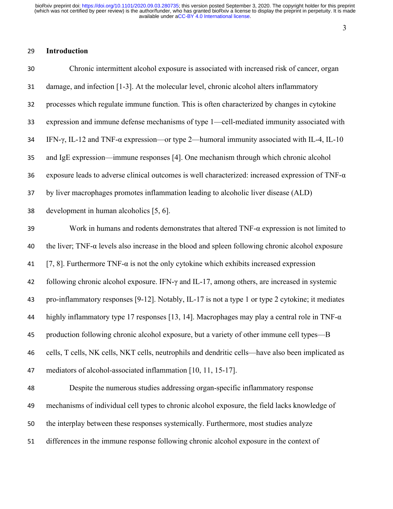#### 

## **Introduction**

| 30 | Chronic intermittent alcohol exposure is associated with increased risk of cancer, organ                  |
|----|-----------------------------------------------------------------------------------------------------------|
| 31 | damage, and infection [1-3]. At the molecular level, chronic alcohol alters inflammatory                  |
| 32 | processes which regulate immune function. This is often characterized by changes in cytokine              |
| 33 | expression and immune defense mechanisms of type 1-cell-mediated immunity associated with                 |
| 34 | IFN- $\gamma$ , IL-12 and TNF- $\alpha$ expression—or type 2—humoral immunity associated with IL-4, IL-10 |
| 35 | and IgE expression—immune responses [4]. One mechanism through which chronic alcohol                      |
| 36 | exposure leads to adverse clinical outcomes is well characterized: increased expression of TNF- $\alpha$  |
| 37 | by liver macrophages promotes inflammation leading to alcoholic liver disease (ALD)                       |
| 38 | development in human alcoholics [5, 6].                                                                   |
| 39 | Work in humans and rodents demonstrates that altered $TNF-\alpha$ expression is not limited to            |
| 40 | the liver; TNF- $\alpha$ levels also increase in the blood and spleen following chronic alcohol exposure  |
| 41 | [7, 8]. Furthermore TNF- $\alpha$ is not the only cytokine which exhibits increased expression            |
| 42 | following chronic alcohol exposure. IFN- $\gamma$ and IL-17, among others, are increased in systemic      |
| 43 | pro-inflammatory responses [9-12]. Notably, IL-17 is not a type 1 or type 2 cytokine; it mediates         |
| 44 | highly inflammatory type 17 responses [13, 14]. Macrophages may play a central role in TNF- $\alpha$      |
| 45 | production following chronic alcohol exposure, but a variety of other immune cell types—B                 |
| 46 | cells, T cells, NK cells, NKT cells, neutrophils and dendritic cells—have also been implicated as         |
| 47 | mediators of alcohol-associated inflammation [10, 11, 15-17].                                             |
| 48 | Despite the numerous studies addressing organ-specific inflammatory response                              |
| 49 | mechanisms of individual cell types to chronic alcohol exposure, the field lacks knowledge of             |
| 50 | the interplay between these responses systemically. Furthermore, most studies analyze                     |
| 51 | differences in the immune response following chronic alcohol exposure in the context of                   |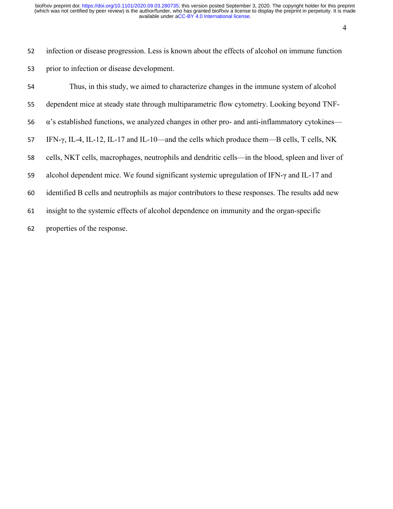infection or disease progression. Less is known about the effects of alcohol on immune function prior to infection or disease development.

| 54 | Thus, in this study, we aimed to characterize changes in the immune system of alcohol                 |
|----|-------------------------------------------------------------------------------------------------------|
| 55 | dependent mice at steady state through multiparametric flow cytometry. Looking beyond TNF-            |
| 56 | $\alpha$ 's established functions, we analyzed changes in other pro- and anti-inflammatory cytokines— |
| 57 | IFN- $\gamma$ , IL-4, IL-12, IL-17 and IL-10—and the cells which produce them—B cells, T cells, NK    |
| 58 | cells, NKT cells, macrophages, neutrophils and dendritic cells—in the blood, spleen and liver of      |
| 59 | alcohol dependent mice. We found significant systemic upregulation of IFN- $\gamma$ and IL-17 and     |
| 60 | identified B cells and neutrophils as major contributors to these responses. The results add new      |
| 61 | insight to the systemic effects of alcohol dependence on immunity and the organ-specific              |
| 62 | properties of the response.                                                                           |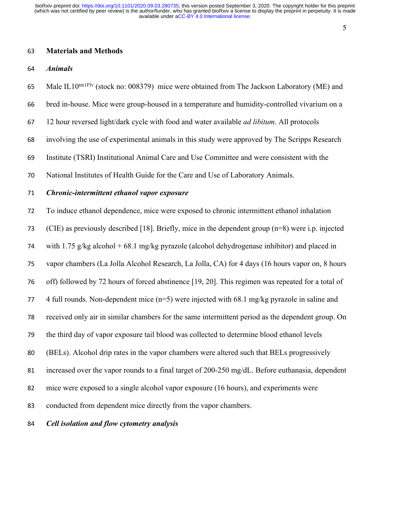#### **Materials and Methods**

#### *Animals*

65 Male IL10<sup>tm1Flv</sup> (stock no: 008379) mice were obtained from The Jackson Laboratory (ME) and

- bred in-house. Mice were group-housed in a temperature and humidity-controlled vivarium on a
- 12 hour reversed light/dark cycle with food and water available *ad libitum*. All protocols
- involving the use of experimental animals in this study were approved by The Scripps Research
- Institute (TSRI) Institutional Animal Care and Use Committee and were consistent with the
- National Institutes of Health Guide for the Care and Use of Laboratory Animals.

#### *Chronic-intermittent ethanol vapor exposure*

To induce ethanol dependence, mice were exposed to chronic intermittent ethanol inhalation

(CIE) as previously described [18]. Briefly, mice in the dependent group (n=8) were i.p. injected

74 with 1.75 g/kg alcohol + 68.1 mg/kg pyrazole (alcohol dehydrogenase inhibitor) and placed in

vapor chambers (La Jolla Alcohol Research, La Jolla, CA) for 4 days (16 hours vapor on, 8 hours

off) followed by 72 hours of forced abstinence [19, 20]. This regimen was repeated for a total of

4 full rounds. Non-dependent mice (n=5) were injected with 68.1 mg/kg pyrazole in saline and

received only air in similar chambers for the same intermittent period as the dependent group. On

- the third day of vapor exposure tail blood was collected to determine blood ethanol levels
- (BELs). Alcohol drip rates in the vapor chambers were altered such that BELs progressively
- increased over the vapor rounds to a final target of 200-250 mg/dL. Before euthanasia, dependent
- mice were exposed to a single alcohol vapor exposure (16 hours), and experiments were
- conducted from dependent mice directly from the vapor chambers.

#### *Cell isolation and flow cytometry analysis*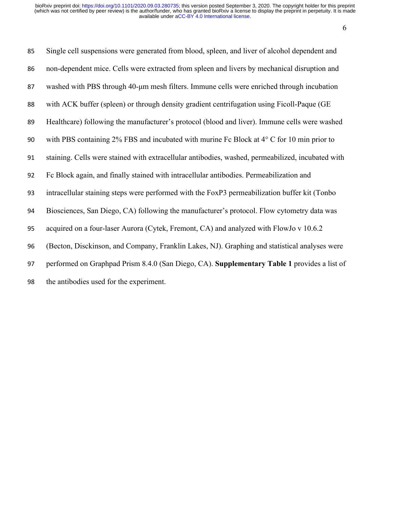| 85 | Single cell suspensions were generated from blood, spleen, and liver of alcohol dependent and      |
|----|----------------------------------------------------------------------------------------------------|
| 86 | non-dependent mice. Cells were extracted from spleen and livers by mechanical disruption and       |
| 87 | washed with PBS through 40-um mesh filters. Immune cells were enriched through incubation          |
| 88 | with ACK buffer (spleen) or through density gradient centrifugation using Ficoll-Paque (GE         |
| 89 | Healthcare) following the manufacturer's protocol (blood and liver). Immune cells were washed      |
| 90 | with PBS containing 2% FBS and incubated with murine Fc Block at $4^{\circ}$ C for 10 min prior to |
| 91 | staining. Cells were stained with extracellular antibodies, washed, permeabilized, incubated with  |
| 92 | Fc Block again, and finally stained with intracellular antibodies. Permeabilization and            |
| 93 | intracellular staining steps were performed with the FoxP3 permeabilization buffer kit (Tonbo      |
| 94 | Biosciences, San Diego, CA) following the manufacturer's protocol. Flow cytometry data was         |
| 95 | acquired on a four-laser Aurora (Cytek, Fremont, CA) and analyzed with FlowJo v 10.6.2             |
| 96 | (Becton, Disckinson, and Company, Franklin Lakes, NJ). Graphing and statistical analyses were      |
| 97 | performed on Graphpad Prism 8.4.0 (San Diego, CA). Supplementary Table 1 provides a list of        |
| 98 | the antibodies used for the experiment.                                                            |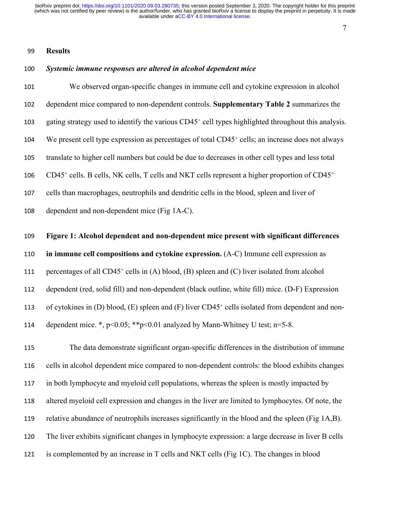#### 

#### **Results**

#### *Systemic immune responses are altered in alcohol dependent mice*

 We observed organ-specific changes in immune cell and cytokine expression in alcohol dependent mice compared to non-dependent controls. **Supplementary Table 2** summarizes the 103 gating strategy used to identify the various CD45<sup>+</sup> cell types highlighted throughout this analysis. 104 We present cell type expression as percentages of total CD45<sup>+</sup> cells; an increase does not always translate to higher cell numbers but could be due to decreases in other cell types and less total 106 CD45<sup>+</sup> cells. B cells, NK cells, T cells and NKT cells represent a higher proportion of CD45<sup>+</sup> cells than macrophages, neutrophils and dendritic cells in the blood, spleen and liver of

dependent and non-dependent mice (Fig 1A-C).

#### **Figure 1: Alcohol dependent and non-dependent mice present with significant differences**

**in immune cell compositions and cytokine expression.** (A-C) Immune cell expression as

111 percentages of all  $CD45<sup>+</sup>$  cells in (A) blood, (B) spleen and (C) liver isolated from alcohol

dependent (red, solid fill) and non-dependent (black outline, white fill) mice. (D-F) Expression

113 of cytokines in (D) blood, (E) spleen and (F) liver CD45<sup>+</sup> cells isolated from dependent and non-

dependent mice. \*, p<0.05; \*\*p<0.01 analyzed by Mann-Whitney U test; n=5-8.

 The data demonstrate significant organ-specific differences in the distribution of immune cells in alcohol dependent mice compared to non-dependent controls: the blood exhibits changes in both lymphocyte and myeloid cell populations, whereas the spleen is mostly impacted by altered myeloid cell expression and changes in the liver are limited to lymphocytes. Of note, the relative abundance of neutrophils increases significantly in the blood and the spleen (Fig 1A,B). The liver exhibits significant changes in lymphocyte expression: a large decrease in liver B cells is complemented by an increase in T cells and NKT cells (Fig 1C). The changes in blood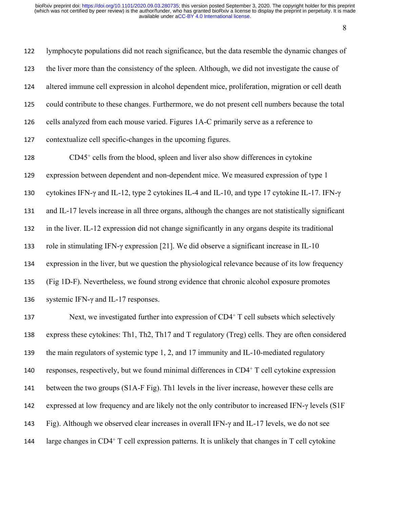lymphocyte populations did not reach significance, but the data resemble the dynamic changes of the liver more than the consistency of the spleen. Although, we did not investigate the cause of altered immune cell expression in alcohol dependent mice, proliferation, migration or cell death could contribute to these changes. Furthermore, we do not present cell numbers because the total cells analyzed from each mouse varied. Figures 1A-C primarily serve as a reference to contextualize cell specific-changes in the upcoming figures. CD45<sup>+</sup> cells from the blood, spleen and liver also show differences in cytokine expression between dependent and non-dependent mice. We measured expression of type 1 cytokines IFN-γ and IL-12, type 2 cytokines IL-4 and IL-10, and type 17 cytokine IL-17. IFN-γ and IL-17 levels increase in all three organs, although the changes are not statistically significant in the liver. IL-12 expression did not change significantly in any organs despite its traditional role in stimulating IFN-γ expression [21]. We did observe a significant increase in IL-10 expression in the liver, but we question the physiological relevance because of its low frequency (Fig 1D-F). Nevertheless, we found strong evidence that chronic alcohol exposure promotes systemic IFN-γ and IL-17 responses. 137 Next, we investigated further into expression of CD4<sup>+</sup> T cell subsets which selectively express these cytokines: Th1, Th2, Th17 and T regulatory (Treg) cells. They are often considered the main regulators of systemic type 1, 2, and 17 immunity and IL-10-mediated regulatory 140 responses, respectively, but we found minimal differences in CD4<sup>+</sup> T cell cytokine expression

between the two groups (S1A-F Fig). Th1 levels in the liver increase, however these cells are

expressed at low frequency and are likely not the only contributor to increased IFN-γ levels (S1F

Fig). Although we observed clear increases in overall IFN-γ and IL-17 levels, we do not see

144 large changes in CD4<sup>+</sup> T cell expression patterns. It is unlikely that changes in T cell cytokine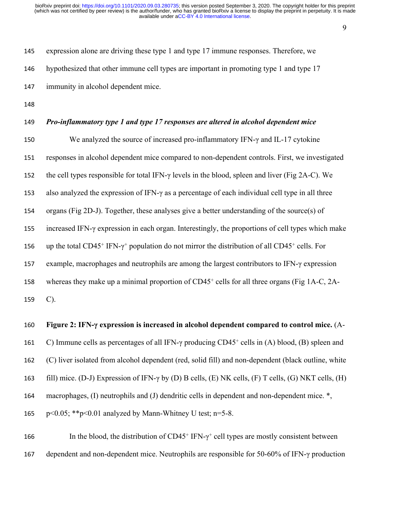expression alone are driving these type 1 and type 17 immune responses. Therefore, we hypothesized that other immune cell types are important in promoting type 1 and type 17 immunity in alcohol dependent mice.

#### *Pro-inflammatory type 1 and type 17 responses are altered in alcohol dependent mice*

 We analyzed the source of increased pro-inflammatory IFN-γ and IL-17 cytokine responses in alcohol dependent mice compared to non-dependent controls. First, we investigated the cell types responsible for total IFN-γ levels in the blood, spleen and liver (Fig 2A-C). We also analyzed the expression of IFN-γ as a percentage of each individual cell type in all three organs (Fig 2D-J). Together, these analyses give a better understanding of the source(s) of increased IFN-γ expression in each organ. Interestingly, the proportions of cell types which make 156 up the total CD45<sup>+</sup> IFN- $\gamma$ <sup>+</sup> population do not mirror the distribution of all CD45<sup>+</sup> cells. For example, macrophages and neutrophils are among the largest contributors to IFN-γ expression 158 whereas they make up a minimal proportion of CD45<sup>+</sup> cells for all three organs (Fig 1A-C, 2A-C).

#### **Figure 2: IFN-γ expression is increased in alcohol dependent compared to control mice.** (A-

161 C) Immune cells as percentages of all IFN-γ producing CD45<sup>+</sup> cells in (A) blood, (B) spleen and

- (C) liver isolated from alcohol dependent (red, solid fill) and non-dependent (black outline, white
- fill) mice. (D-J) Expression of IFN-γ by (D) B cells, (E) NK cells, (F) T cells, (G) NKT cells, (H)
- macrophages, (I) neutrophils and (J) dendritic cells in dependent and non-dependent mice. \*,
- p<0.05; \*\*p<0.01 analyzed by Mann-Whitney U test; n=5-8.

166 In the blood, the distribution of  $CD45^+$  IFN- $\gamma^+$  cell types are mostly consistent between dependent and non-dependent mice. Neutrophils are responsible for 50-60% of IFN-γ production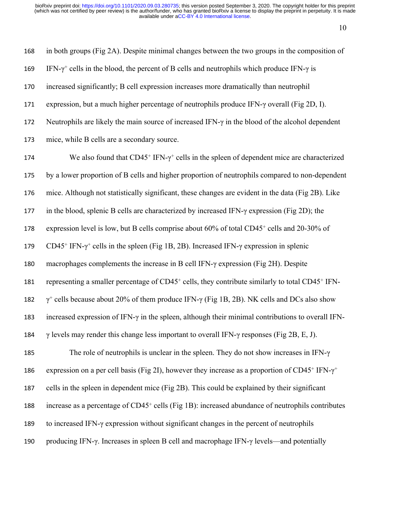| 168 | in both groups (Fig 2A). Despite minimal changes between the two groups in the composition of                                  |
|-----|--------------------------------------------------------------------------------------------------------------------------------|
| 169 | IFN- $\gamma$ <sup>+</sup> cells in the blood, the percent of B cells and neutrophils which produce IFN- $\gamma$ is           |
| 170 | increased significantly; B cell expression increases more dramatically than neutrophil                                         |
| 171 | expression, but a much higher percentage of neutrophils produce IFN- $\gamma$ overall (Fig 2D, I).                             |
| 172 | Neutrophils are likely the main source of increased IFN- $\gamma$ in the blood of the alcohol dependent                        |
| 173 | mice, while B cells are a secondary source.                                                                                    |
| 174 | We also found that $CD45^+$ IFN- $\gamma^+$ cells in the spleen of dependent mice are characterized                            |
| 175 | by a lower proportion of B cells and higher proportion of neutrophils compared to non-dependent                                |
| 176 | mice. Although not statistically significant, these changes are evident in the data (Fig 2B). Like                             |
| 177 | in the blood, splenic B cells are characterized by increased IFN- $\gamma$ expression (Fig 2D); the                            |
| 178 | expression level is low, but B cells comprise about 60% of total CD45 <sup>+</sup> cells and 20-30% of                         |
| 179 | $CD45^+$ IFN- $\gamma^+$ cells in the spleen (Fig 1B, 2B). Increased IFN- $\gamma$ expression in splenic                       |
| 180 | macrophages complements the increase in B cell IFN- $\gamma$ expression (Fig 2H). Despite                                      |
| 181 | representing a smaller percentage of CD45 <sup>+</sup> cells, they contribute similarly to total CD45 <sup>+</sup> IFN-        |
| 182 | $\gamma^+$ cells because about 20% of them produce IFN- $\gamma$ (Fig 1B, 2B). NK cells and DCs also show                      |
| 183 | increased expression of IFN- $\gamma$ in the spleen, although their minimal contributions to overall IFN-                      |
| 184 | $\gamma$ levels may render this change less important to overall IFN- $\gamma$ responses (Fig 2B, E, J).                       |
| 185 | The role of neutrophils is unclear in the spleen. They do not show increases in IFN- $\gamma$                                  |
| 186 | expression on a per cell basis (Fig 2I), however they increase as a proportion of CD45 <sup>+</sup> IFN- $\gamma$ <sup>+</sup> |
| 187 | cells in the spleen in dependent mice (Fig 2B). This could be explained by their significant                                   |
| 188 | increase as a percentage of CD45 <sup>+</sup> cells (Fig 1B): increased abundance of neutrophils contributes                   |
| 189 | to increased IFN- $\gamma$ expression without significant changes in the percent of neutrophils                                |
| 190 | producing IFN-γ. Increases in spleen B cell and macrophage IFN-γ levels—and potentially                                        |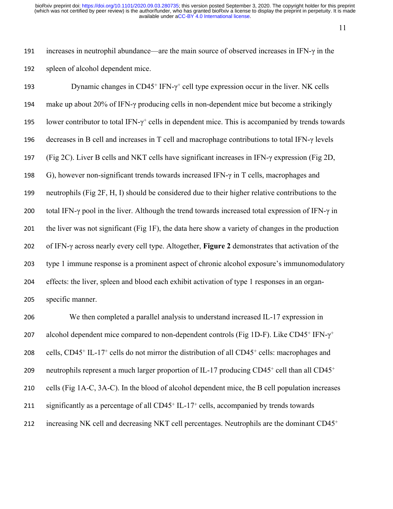11

191 increases in neutrophil abundance—are the main source of observed increases in IFN-γ in the 192 spleen of alcohol dependent mice.

193 Dynamic changes in  $CD45^+$  IFN- $\gamma^+$  cell type expression occur in the liver. NK cells make up about 20% of IFN-γ producing cells in non-dependent mice but become a strikingly 195 lower contributor to total IFN- $\gamma$ <sup>+</sup> cells in dependent mice. This is accompanied by trends towards decreases in B cell and increases in T cell and macrophage contributions to total IFN-γ levels (Fig 2C). Liver B cells and NKT cells have significant increases in IFN-γ expression (Fig 2D, 198 G), however non-significant trends towards increased IFN- $\gamma$  in T cells, macrophages and neutrophils (Fig 2F, H, I) should be considered due to their higher relative contributions to the 200 total IFN-γ pool in the liver. Although the trend towards increased total expression of IFN-γ in the liver was not significant (Fig 1F), the data here show a variety of changes in the production of IFN-γ across nearly every cell type. Altogether, **Figure 2** demonstrates that activation of the type 1 immune response is a prominent aspect of chronic alcohol exposure's immunomodulatory effects: the liver, spleen and blood each exhibit activation of type 1 responses in an organ-specific manner.

206 We then completed a parallel analysis to understand increased IL-17 expression in 207 alcohol dependent mice compared to non-dependent controls (Fig 1D-F). Like CD45<sup>+</sup> IFN- $\gamma^+$ 208 cells, CD45<sup>+</sup> IL-17<sup>+</sup> cells do not mirror the distribution of all CD45<sup>+</sup> cells: macrophages and 209 neutrophils represent a much larger proportion of IL-17 producing CD45<sup>+</sup> cell than all CD45<sup>+</sup> 210 cells (Fig 1A-C, 3A-C). In the blood of alcohol dependent mice, the B cell population increases 211 significantly as a percentage of all CD45<sup>+</sup> IL-17<sup>+</sup> cells, accompanied by trends towards 212 increasing NK cell and decreasing NKT cell percentages. Neutrophils are the dominant CD45<sup>+</sup>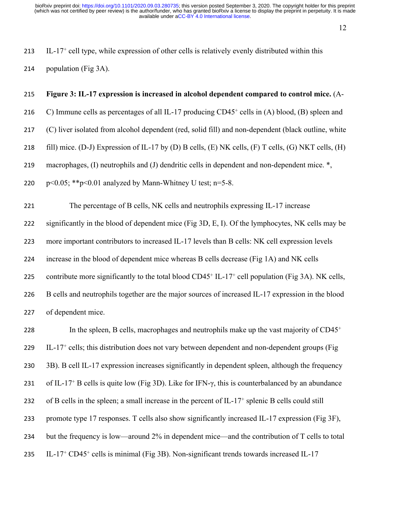- 213 IL-17<sup>+</sup> cell type, while expression of other cells is relatively evenly distributed within this
- 214 population (Fig 3A).

#### 215 **Figure 3: IL-17 expression is increased in alcohol dependent compared to control mice.** (A-

- 216 C) Immune cells as percentages of all IL-17 producing CD45<sup>+</sup> cells in (A) blood, (B) spleen and
- 217 (C) liver isolated from alcohol dependent (red, solid fill) and non-dependent (black outline, white
- 218 fill) mice. (D-J) Expression of IL-17 by (D) B cells, (E) NK cells, (F) T cells, (G) NKT cells, (H)
- 219 macrophages, (I) neutrophils and (J) dendritic cells in dependent and non-dependent mice.  $\ast$ ,
- 220 p < 0.05; \*\* p < 0.01 analyzed by Mann-Whitney U test; n=5-8.

221 The percentage of B cells, NK cells and neutrophils expressing IL-17 increase

222 significantly in the blood of dependent mice (Fig 3D, E, I). Of the lymphocytes, NK cells may be

223 more important contributors to increased IL-17 levels than B cells: NK cell expression levels

224 increase in the blood of dependent mice whereas B cells decrease (Fig 1A) and NK cells

225 contribute more significantly to the total blood CD45<sup>+</sup> IL-17<sup>+</sup> cell population (Fig 3A). NK cells,

226 B cells and neutrophils together are the major sources of increased IL-17 expression in the blood

227 of dependent mice.

228 In the spleen, B cells, macrophages and neutrophils make up the vast majority of  $CD45<sup>+</sup>$ 229 IL-17<sup>+</sup> cells; this distribution does not vary between dependent and non-dependent groups (Fig 230 3B). B cell IL-17 expression increases significantly in dependent spleen, although the frequency 231 of IL-17<sup>+</sup> B cells is quite low (Fig 3D). Like for IFN- $\gamma$ , this is counterbalanced by an abundance 232 of B cells in the spleen; a small increase in the percent of IL-17<sup>+</sup> splenic B cells could still 233 promote type 17 responses. T cells also show significantly increased IL-17 expression (Fig 3F), 234 but the frequency is low—around 2% in dependent mice—and the contribution of T cells to total 235 IL-17<sup>+</sup> CD45<sup>+</sup> cells is minimal (Fig 3B). Non-significant trends towards increased IL-17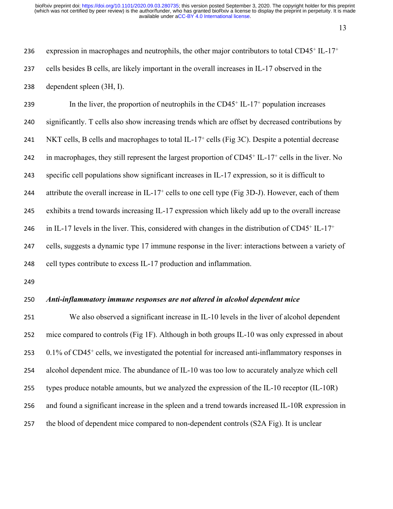236 expression in macrophages and neutrophils, the other major contributors to total CD45<sup>+</sup> IL-17<sup>+</sup> cells besides B cells, are likely important in the overall increases in IL-17 observed in the dependent spleen (3H, I).

239 In the liver, the proportion of neutrophils in the CD45<sup>+</sup> IL-17<sup>+</sup> population increases significantly. T cells also show increasing trends which are offset by decreased contributions by 241 NKT cells, B cells and macrophages to total IL-17<sup>+</sup> cells (Fig 3C). Despite a potential decrease 242 in macrophages, they still represent the largest proportion of CD45<sup>+</sup> IL-17<sup>+</sup> cells in the liver. No specific cell populations show significant increases in IL-17 expression, so it is difficult to 244 attribute the overall increase in IL-17<sup>+</sup> cells to one cell type (Fig 3D-J). However, each of them exhibits a trend towards increasing IL-17 expression which likely add up to the overall increase 246 in IL-17 levels in the liver. This, considered with changes in the distribution of  $CD45<sup>+</sup>$  IL-17<sup>+</sup> cells, suggests a dynamic type 17 immune response in the liver: interactions between a variety of cell types contribute to excess IL-17 production and inflammation.

#### *Anti-inflammatory immune responses are not altered in alcohol dependent mice*

 We also observed a significant increase in IL-10 levels in the liver of alcohol dependent mice compared to controls (Fig 1F). Although in both groups IL-10 was only expressed in about 253 0.1% of CD45<sup>+</sup> cells, we investigated the potential for increased anti-inflammatory responses in alcohol dependent mice. The abundance of IL-10 was too low to accurately analyze which cell types produce notable amounts, but we analyzed the expression of the IL-10 receptor (IL-10R) and found a significant increase in the spleen and a trend towards increased IL-10R expression in the blood of dependent mice compared to non-dependent controls (S2A Fig). It is unclear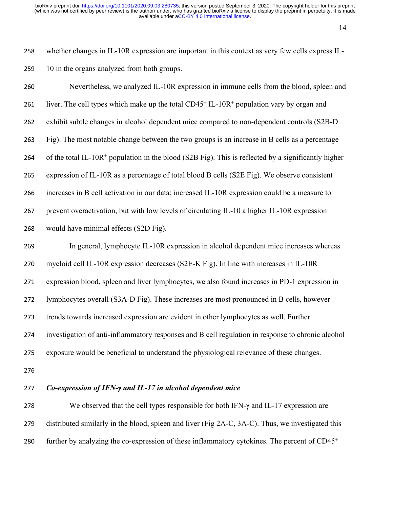whether changes in IL-10R expression are important in this context as very few cells express IL-10 in the organs analyzed from both groups.

 Nevertheless, we analyzed IL-10R expression in immune cells from the blood, spleen and 261 liver. The cell types which make up the total CD45<sup>+</sup> IL-10R<sup>+</sup> population vary by organ and exhibit subtle changes in alcohol dependent mice compared to non-dependent controls (S2B-D Fig). The most notable change between the two groups is an increase in B cells as a percentage 264 of the total IL-10R<sup>+</sup> population in the blood (S2B Fig). This is reflected by a significantly higher expression of IL-10R as a percentage of total blood B cells (S2E Fig). We observe consistent increases in B cell activation in our data; increased IL-10R expression could be a measure to prevent overactivation, but with low levels of circulating IL-10 a higher IL-10R expression would have minimal effects (S2D Fig). In general, lymphocyte IL-10R expression in alcohol dependent mice increases whereas myeloid cell IL-10R expression decreases (S2E-K Fig). In line with increases in IL-10R

expression blood, spleen and liver lymphocytes, we also found increases in PD-1 expression in

lymphocytes overall (S3A-D Fig). These increases are most pronounced in B cells, however

trends towards increased expression are evident in other lymphocytes as well. Further

investigation of anti-inflammatory responses and B cell regulation in response to chronic alcohol

exposure would be beneficial to understand the physiological relevance of these changes.

#### *Co-expression of IFN-γ and IL-17 in alcohol dependent mice*

 We observed that the cell types responsible for both IFN-γ and IL-17 expression are distributed similarly in the blood, spleen and liver (Fig 2A-C, 3A-C). Thus, we investigated this further by analyzing the co-expression of these inflammatory cytokines. The percent of CD45<sup>+</sup>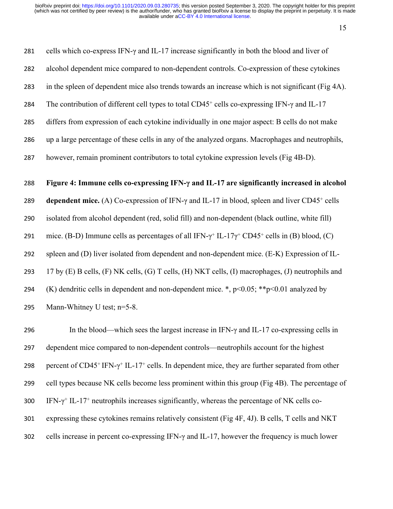| 281 | cells which co-express IFN- $\gamma$ and IL-17 increase significantly in both the blood and liver of                                            |
|-----|-------------------------------------------------------------------------------------------------------------------------------------------------|
| 282 | alcohol dependent mice compared to non-dependent controls. Co-expression of these cytokines                                                     |
| 283 | in the spleen of dependent mice also trends towards an increase which is not significant (Fig 4A).                                              |
| 284 | The contribution of different cell types to total $CD45+$ cells co-expressing IFN- $\gamma$ and IL-17                                           |
| 285 | differs from expression of each cytokine individually in one major aspect: B cells do not make                                                  |
| 286 | up a large percentage of these cells in any of the analyzed organs. Macrophages and neutrophils,                                                |
| 287 | however, remain prominent contributors to total cytokine expression levels (Fig 4B-D).                                                          |
|     |                                                                                                                                                 |
|     |                                                                                                                                                 |
| 288 | Figure 4: Immune cells co-expressing IFN- $\gamma$ and IL-17 are significantly increased in alcohol                                             |
| 289 | dependent mice. (A) Co-expression of IFN- $\gamma$ and IL-17 in blood, spleen and liver CD45 <sup>+</sup> cells                                 |
| 290 | isolated from alcohol dependent (red, solid fill) and non-dependent (black outline, white fill)                                                 |
| 291 | mice. (B-D) Immune cells as percentages of all IFN- $\gamma$ <sup>+</sup> IL-17 $\gamma$ <sup>+</sup> CD45 <sup>+</sup> cells in (B) blood, (C) |
| 292 | spleen and (D) liver isolated from dependent and non-dependent mice. (E-K) Expression of IL-                                                    |
| 293 | 17 by (E) B cells, (F) NK cells, (G) T cells, (H) NKT cells, (I) macrophages, (J) neutrophils and                                               |
| 294 | (K) dendritic cells in dependent and non-dependent mice. *, $p<0.05$ ; ** $p<0.01$ analyzed by                                                  |

296 In the blood—which sees the largest increase in IFN- $\gamma$  and IL-17 co-expressing cells in 297 dependent mice compared to non-dependent controls—neutrophils account for the highest 298 percent of CD45<sup>+</sup> IFN- $\gamma$ <sup>+</sup> IL-17<sup>+</sup> cells. In dependent mice, they are further separated from other 299 cell types because NK cells become less prominent within this group (Fig 4B). The percentage of 300 IFN- $\gamma$ <sup>+</sup> IL-17<sup>+</sup> neutrophils increases significantly, whereas the percentage of NK cells co-301 expressing these cytokines remains relatively consistent (Fig 4F, 4J). B cells, T cells and NKT 302 cells increase in percent co-expressing IFN-γ and IL-17, however the frequency is much lower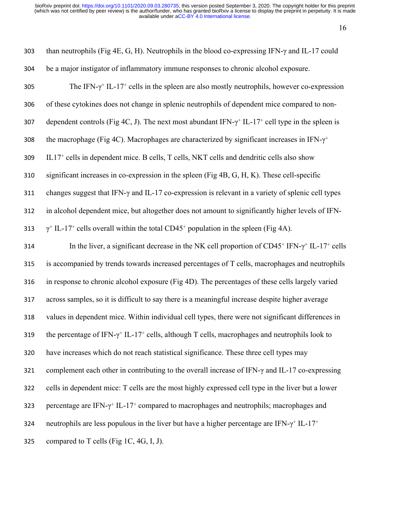| 303 | than neutrophils (Fig 4E, G, H). Neutrophils in the blood co-expressing IFN- $\gamma$ and IL-17 could                           |
|-----|---------------------------------------------------------------------------------------------------------------------------------|
| 304 | be a major instigator of inflammatory immune responses to chronic alcohol exposure.                                             |
| 305 | The IFN- $\gamma$ <sup>+</sup> IL-17 <sup>+</sup> cells in the spleen are also mostly neutrophils, however co-expression        |
| 306 | of these cytokines does not change in splenic neutrophils of dependent mice compared to non-                                    |
| 307 | dependent controls (Fig 4C, J). The next most abundant IFN- $\gamma$ <sup>+</sup> IL-17 <sup>+</sup> cell type in the spleen is |
| 308 | the macrophage (Fig 4C). Macrophages are characterized by significant increases in IFN- $\gamma^+$                              |
| 309 | IL17 <sup>+</sup> cells in dependent mice. B cells, T cells, NKT cells and dendritic cells also show                            |
| 310 | significant increases in co-expression in the spleen (Fig 4B, G, H, K). These cell-specific                                     |
| 311 | changes suggest that IFN- $\gamma$ and IL-17 co-expression is relevant in a variety of splenic cell types                       |
| 312 | in alcohol dependent mice, but altogether does not amount to significantly higher levels of IFN-                                |
| 313 | $\gamma$ <sup>+</sup> IL-17 <sup>+</sup> cells overall within the total CD45 <sup>+</sup> population in the spleen (Fig 4A).    |
| 314 | In the liver, a significant decrease in the NK cell proportion of $CD45^+$ IFN- $\gamma^+$ IL-17 <sup>+</sup> cells             |
| 315 | is accompanied by trends towards increased percentages of T cells, macrophages and neutrophils                                  |
| 316 | in response to chronic alcohol exposure (Fig 4D). The percentages of these cells largely varied                                 |
| 317 | across samples, so it is difficult to say there is a meaningful increase despite higher average                                 |
| 318 | values in dependent mice. Within individual cell types, there were not significant differences in                               |
| 319 | the percentage of IFN- $\gamma$ <sup>+</sup> IL-17 <sup>+</sup> cells, although T cells, macrophages and neutrophils look to    |
| 320 | have increases which do not reach statistical significance. These three cell types may                                          |
| 321 | complement each other in contributing to the overall increase of IFN- $\gamma$ and IL-17 co-expressing                          |
| 322 | cells in dependent mice: T cells are the most highly expressed cell type in the liver but a lower                               |
| 323 | percentage are IFN- $\gamma$ <sup>+</sup> IL-17 <sup>+</sup> compared to macrophages and neutrophils; macrophages and           |
| 324 | neutrophils are less populous in the liver but have a higher percentage are IFN- $\gamma$ <sup>+</sup> IL-17 <sup>+</sup>       |
| 325 | compared to T cells (Fig 1C, 4G, I, J).                                                                                         |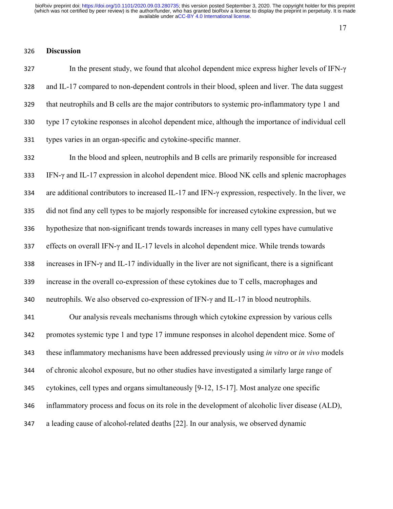### **Discussion**

327 In the present study, we found that alcohol dependent mice express higher levels of IFN- $\gamma$  and IL-17 compared to non-dependent controls in their blood, spleen and liver. The data suggest that neutrophils and B cells are the major contributors to systemic pro-inflammatory type 1 and type 17 cytokine responses in alcohol dependent mice, although the importance of individual cell types varies in an organ-specific and cytokine-specific manner.

 In the blood and spleen, neutrophils and B cells are primarily responsible for increased IFN-γ and IL-17 expression in alcohol dependent mice. Blood NK cells and splenic macrophages are additional contributors to increased IL-17 and IFN-γ expression, respectively. In the liver, we did not find any cell types to be majorly responsible for increased cytokine expression, but we hypothesize that non-significant trends towards increases in many cell types have cumulative effects on overall IFN-γ and IL-17 levels in alcohol dependent mice. While trends towards increases in IFN-γ and IL-17 individually in the liver are not significant, there is a significant increase in the overall co-expression of these cytokines due to T cells, macrophages and neutrophils. We also observed co-expression of IFN-γ and IL-17 in blood neutrophils. Our analysis reveals mechanisms through which cytokine expression by various cells promotes systemic type 1 and type 17 immune responses in alcohol dependent mice. Some of

 these inflammatory mechanisms have been addressed previously using *in vitro* or *in vivo* models of chronic alcohol exposure, but no other studies have investigated a similarly large range of cytokines, cell types and organs simultaneously [9-12, 15-17]. Most analyze one specific inflammatory process and focus on its role in the development of alcoholic liver disease (ALD), a leading cause of alcohol-related deaths [22]. In our analysis, we observed dynamic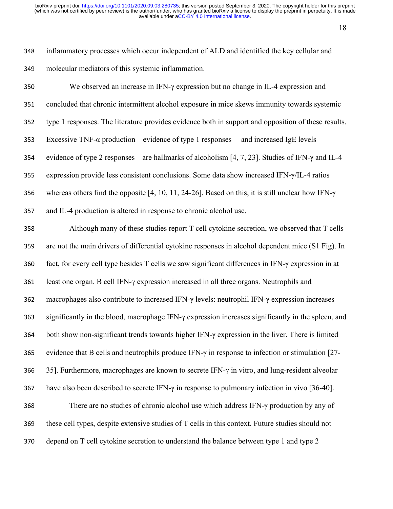inflammatory processes which occur independent of ALD and identified the key cellular and molecular mediators of this systemic inflammation.

| 350 | We observed an increase in IFN- $\gamma$ expression but no change in IL-4 expression and                     |
|-----|--------------------------------------------------------------------------------------------------------------|
| 351 | concluded that chronic intermittent alcohol exposure in mice skews immunity towards systemic                 |
| 352 | type 1 responses. The literature provides evidence both in support and opposition of these results.          |
| 353 | Excessive TNF- $\alpha$ production—evidence of type 1 responses— and increased IgE levels—                   |
| 354 | evidence of type 2 responses—are hallmarks of alcoholism [4, 7, 23]. Studies of IFN- $\gamma$ and IL-4       |
| 355 | expression provide less consistent conclusions. Some data show increased IFN- $\gamma$ /IL-4 ratios          |
| 356 | whereas others find the opposite [4, 10, 11, 24-26]. Based on this, it is still unclear how IFN- $\gamma$    |
| 357 | and IL-4 production is altered in response to chronic alcohol use.                                           |
| 358 | Although many of these studies report T cell cytokine secretion, we observed that T cells                    |
| 359 | are not the main drivers of differential cytokine responses in alcohol dependent mice (S1 Fig). In           |
| 360 | fact, for every cell type besides T cells we saw significant differences in IFN- $\gamma$ expression in at   |
| 361 | least one organ. B cell IFN- $\gamma$ expression increased in all three organs. Neutrophils and              |
| 362 | macrophages also contribute to increased IFN- $\gamma$ levels: neutrophil IFN- $\gamma$ expression increases |
| 363 | significantly in the blood, macrophage IFN-y expression increases significantly in the spleen, and           |
| 364 | both show non-significant trends towards higher IFN- $\gamma$ expression in the liver. There is limited      |
| 365 | evidence that B cells and neutrophils produce IFN- $\gamma$ in response to infection or stimulation [27-     |
| 366 | 35]. Furthermore, macrophages are known to secrete IFN- $\gamma$ in vitro, and lung-resident alveolar        |
| 367 | have also been described to secrete IFN- $\gamma$ in response to pulmonary infection in vivo [36-40].        |
| 368 | There are no studies of chronic alcohol use which address IFN- $\gamma$ production by any of                 |
| 369 | these cell types, despite extensive studies of T cells in this context. Future studies should not            |
|     |                                                                                                              |

depend on T cell cytokine secretion to understand the balance between type 1 and type 2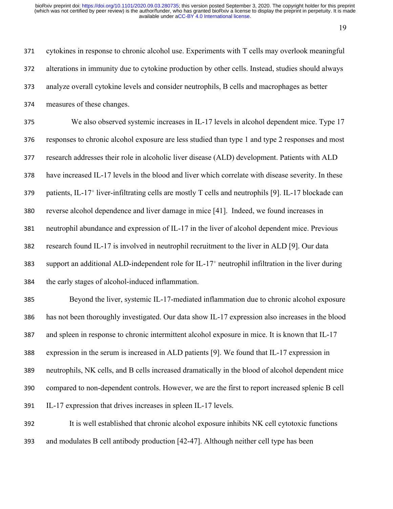cytokines in response to chronic alcohol use. Experiments with T cells may overlook meaningful alterations in immunity due to cytokine production by other cells. Instead, studies should always analyze overall cytokine levels and consider neutrophils, B cells and macrophages as better measures of these changes. We also observed systemic increases in IL-17 levels in alcohol dependent mice. Type 17 responses to chronic alcohol exposure are less studied than type 1 and type 2 responses and most research addresses their role in alcoholic liver disease (ALD) development. Patients with ALD

have increased IL-17 levels in the blood and liver which correlate with disease severity. In these

patients, IL-17<sup>+</sup> liver-infiltrating cells are mostly T cells and neutrophils [9]. IL-17 blockade can

reverse alcohol dependence and liver damage in mice [41]. Indeed, we found increases in

neutrophil abundance and expression of IL-17 in the liver of alcohol dependent mice. Previous

research found IL-17 is involved in neutrophil recruitment to the liver in ALD [9]. Our data

 support an additional ALD-independent role for IL-17<sup>+</sup> neutrophil infiltration in the liver during the early stages of alcohol-induced inflammation.

 Beyond the liver, systemic IL-17-mediated inflammation due to chronic alcohol exposure has not been thoroughly investigated. Our data show IL-17 expression also increases in the blood and spleen in response to chronic intermittent alcohol exposure in mice. It is known that IL-17 expression in the serum is increased in ALD patients [9]. We found that IL-17 expression in neutrophils, NK cells, and B cells increased dramatically in the blood of alcohol dependent mice compared to non-dependent controls. However, we are the first to report increased splenic B cell IL-17 expression that drives increases in spleen IL-17 levels.

 It is well established that chronic alcohol exposure inhibits NK cell cytotoxic functions and modulates B cell antibody production [42-47]. Although neither cell type has been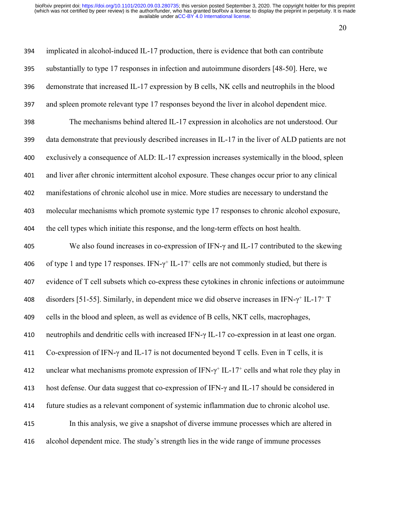| 394 | implicated in alcohol-induced IL-17 production, there is evidence that both can contribute                                   |
|-----|------------------------------------------------------------------------------------------------------------------------------|
| 395 | substantially to type 17 responses in infection and autoimmune disorders [48-50]. Here, we                                   |
| 396 | demonstrate that increased IL-17 expression by B cells, NK cells and neutrophils in the blood                                |
| 397 | and spleen promote relevant type 17 responses beyond the liver in alcohol dependent mice.                                    |
| 398 | The mechanisms behind altered IL-17 expression in alcoholics are not understood. Our                                         |
| 399 | data demonstrate that previously described increases in IL-17 in the liver of ALD patients are not                           |
| 400 | exclusively a consequence of ALD: IL-17 expression increases systemically in the blood, spleen                               |
| 401 | and liver after chronic intermittent alcohol exposure. These changes occur prior to any clinical                             |
| 402 | manifestations of chronic alcohol use in mice. More studies are necessary to understand the                                  |
| 403 | molecular mechanisms which promote systemic type 17 responses to chronic alcohol exposure,                                   |
| 404 | the cell types which initiate this response, and the long-term effects on host health.                                       |
| 405 | We also found increases in co-expression of IFN- $\gamma$ and IL-17 contributed to the skewing                               |
| 406 | of type 1 and type 17 responses. IFN- $\gamma$ <sup>+</sup> IL-17 <sup>+</sup> cells are not commonly studied, but there is  |
| 407 | evidence of T cell subsets which co-express these cytokines in chronic infections or autoimmune                              |
| 408 | disorders [51-55]. Similarly, in dependent mice we did observe increases in IFN- $\gamma$ <sup>+</sup> IL-17 <sup>+</sup> T  |
| 409 | cells in the blood and spleen, as well as evidence of B cells, NKT cells, macrophages,                                       |
| 410 | neutrophils and dendritic cells with increased IFN- $\gamma$ IL-17 co-expression in at least one organ.                      |
| 411 | Co-expression of IFN- $\gamma$ and IL-17 is not documented beyond T cells. Even in T cells, it is                            |
| 412 | unclear what mechanisms promote expression of IFN- $\gamma$ <sup>+</sup> IL-17 <sup>+</sup> cells and what role they play in |
| 413 | host defense. Our data suggest that co-expression of IFN- $\gamma$ and IL-17 should be considered in                         |
| 414 | future studies as a relevant component of systemic inflammation due to chronic alcohol use.                                  |
| 415 | In this analysis, we give a snapshot of diverse immune processes which are altered in                                        |
| 416 | alcohol dependent mice. The study's strength lies in the wide range of immune processes                                      |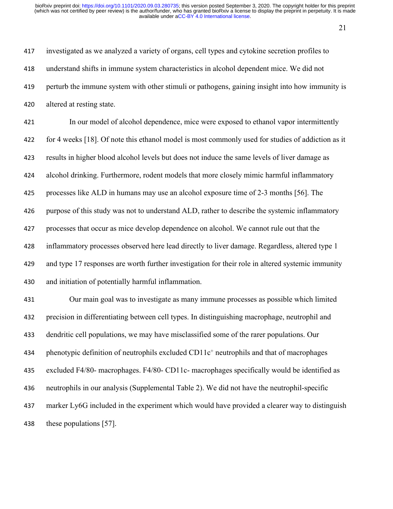investigated as we analyzed a variety of organs, cell types and cytokine secretion profiles to understand shifts in immune system characteristics in alcohol dependent mice. We did not perturb the immune system with other stimuli or pathogens, gaining insight into how immunity is altered at resting state.

 In our model of alcohol dependence, mice were exposed to ethanol vapor intermittently for 4 weeks [18]. Of note this ethanol model is most commonly used for studies of addiction as it results in higher blood alcohol levels but does not induce the same levels of liver damage as alcohol drinking. Furthermore, rodent models that more closely mimic harmful inflammatory processes like ALD in humans may use an alcohol exposure time of 2-3 months [56]. The purpose of this study was not to understand ALD, rather to describe the systemic inflammatory processes that occur as mice develop dependence on alcohol. We cannot rule out that the inflammatory processes observed here lead directly to liver damage. Regardless, altered type 1 and type 17 responses are worth further investigation for their role in altered systemic immunity and initiation of potentially harmful inflammation.

 Our main goal was to investigate as many immune processes as possible which limited precision in differentiating between cell types. In distinguishing macrophage, neutrophil and dendritic cell populations, we may have misclassified some of the rarer populations. Our 434 phenotypic definition of neutrophils excluded CD11c<sup>+</sup> neutrophils and that of macrophages excluded F4/80- macrophages. F4/80- CD11c- macrophages specifically would be identified as neutrophils in our analysis (Supplemental Table 2). We did not have the neutrophil-specific marker Ly6G included in the experiment which would have provided a clearer way to distinguish these populations [57].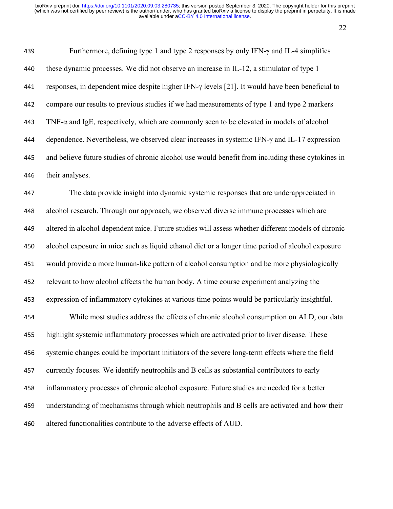439 Furthermore, defining type 1 and type 2 responses by only IFN- $\gamma$  and IL-4 simplifies these dynamic processes. We did not observe an increase in IL-12, a stimulator of type 1 responses, in dependent mice despite higher IFN-γ levels [21]. It would have been beneficial to compare our results to previous studies if we had measurements of type 1 and type 2 markers TNF- $\alpha$  and IgE, respectively, which are commonly seen to be elevated in models of alcohol 444 dependence. Nevertheless, we observed clear increases in systemic IFN- $\gamma$  and IL-17 expression and believe future studies of chronic alcohol use would benefit from including these cytokines in their analyses.

 The data provide insight into dynamic systemic responses that are underappreciated in alcohol research. Through our approach, we observed diverse immune processes which are altered in alcohol dependent mice. Future studies will assess whether different models of chronic alcohol exposure in mice such as liquid ethanol diet or a longer time period of alcohol exposure would provide a more human-like pattern of alcohol consumption and be more physiologically relevant to how alcohol affects the human body. A time course experiment analyzing the expression of inflammatory cytokines at various time points would be particularly insightful.

 While most studies address the effects of chronic alcohol consumption on ALD, our data highlight systemic inflammatory processes which are activated prior to liver disease. These systemic changes could be important initiators of the severe long-term effects where the field currently focuses. We identify neutrophils and B cells as substantial contributors to early inflammatory processes of chronic alcohol exposure. Future studies are needed for a better understanding of mechanisms through which neutrophils and B cells are activated and how their altered functionalities contribute to the adverse effects of AUD.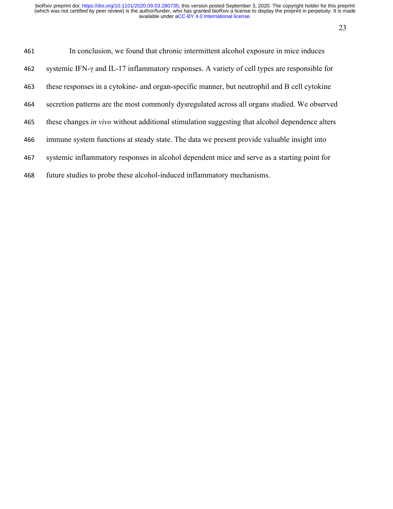| 461 | In conclusion, we found that chronic intermittent alcohol exposure in mice induces             |
|-----|------------------------------------------------------------------------------------------------|
| 462 | systemic IFN-γ and IL-17 inflammatory responses. A variety of cell types are responsible for   |
| 463 | these responses in a cytokine- and organ-specific manner, but neutrophil and B cell cytokine   |
| 464 | secretion patterns are the most commonly dysregulated across all organs studied. We observed   |
| 465 | these changes in vivo without additional stimulation suggesting that alcohol dependence alters |
| 466 | immune system functions at steady state. The data we present provide valuable insight into     |
| 467 | systemic inflammatory responses in alcohol dependent mice and serve as a starting point for    |
| 468 | future studies to probe these alcohol-induced inflammatory mechanisms.                         |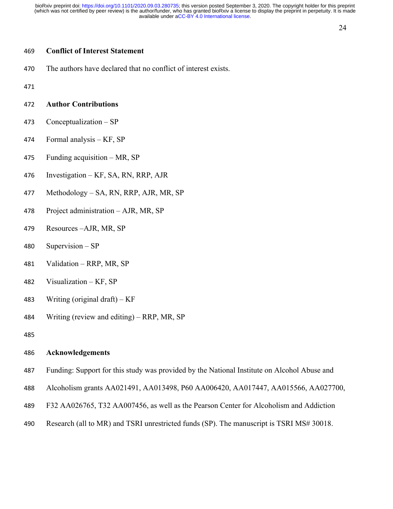#### 

## **Conflict of Interest Statement**

The authors have declared that no conflict of interest exists.

#### **Author Contributions**

- Conceptualization SP
- Formal analysis KF, SP
- Funding acquisition MR, SP
- Investigation KF, SA, RN, RRP, AJR
- Methodology SA, RN, RRP, AJR, MR, SP
- Project administration AJR, MR, SP
- Resources –AJR, MR, SP
- Supervision SP
- Validation RRP, MR, SP
- Visualization KF, SP
- 483 Writing (original draft)  $KF$
- Writing (review and editing) RRP, MR, SP

#### **Acknowledgements**

- Funding: Support for this study was provided by the National Institute on Alcohol Abuse and
- Alcoholism grants AA021491, AA013498, P60 AA006420, AA017447, AA015566, AA027700,
- F32 AA026765, T32 AA007456, as well as the Pearson Center for Alcoholism and Addiction
- Research (all to MR) and TSRI unrestricted funds (SP). The manuscript is TSRI MS# 30018.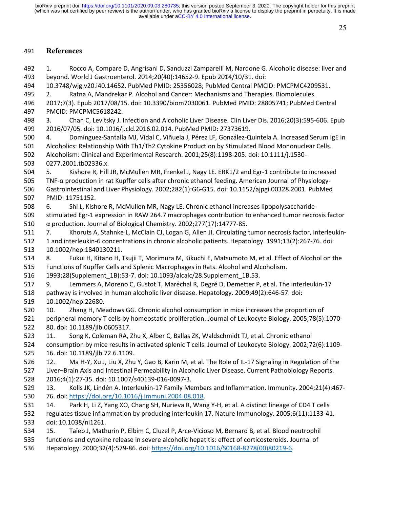#### 491 **References**

492 1. Rocco A, Compare D, Angrisani D, Sanduzzi Zamparelli M, Nardone G. Alcoholic disease: liver and 493 beyond. World J Gastroenterol. 2014;20(40):14652-9. Epub 2014/10/31. doi: 494 10.3748/wjg.v20.i40.14652. PubMed PMID: 25356028; PubMed Central PMCID: PMCPMC4209531. 495 2. Ratna A, Mandrekar P. Alcohol and Cancer: Mechanisms and Therapies. Biomolecules. 496 2017;7(3). Epub 2017/08/15. doi: 10.3390/biom7030061. PubMed PMID: 28805741; PubMed Central 497 PMCID: PMCPMC5618242. 498 3. Chan C, Levitsky J. Infection and Alcoholic Liver Disease. Clin Liver Dis. 2016;20(3):595-606. Epub 499 2016/07/05. doi: 10.1016/j.cld.2016.02.014. PubMed PMID: 27373619. 500 4. Domínguez-Santalla MJ, Vidal C, Viñuela J, Pérez LF, González-Quintela A. Increased Serum IgE in 501 Alcoholics: Relationship With Th1/Th2 Cytokine Production by Stimulated Blood Mononuclear Cells. 502 Alcoholism: Clinical and Experimental Research. 2001;25(8):1198-205. doi: 10.1111/j.1530- 503 0277.2001.tb02336.x. 504 5. Kishore R, Hill JR, McMullen MR, Frenkel J, Nagy LE. ERK1/2 and Egr-1 contribute to increased 505 TNF-α production in rat Kupffer cells after chronic ethanol feeding. American Journal of Physiology-506 Gastrointestinal and Liver Physiology. 2002;282(1):G6-G15. doi: 10.1152/ajpgi.00328.2001. PubMed 507 PMID: 11751152. 508 6. Shi L, Kishore R, McMullen MR, Nagy LE. Chronic ethanol increases lipopolysaccharide-509 stimulated Egr-1 expression in RAW 264.7 macrophages contribution to enhanced tumor necrosis factor 510 α production. Journal of Biological Chemistry. 2002;277(17):14777-85. 511 7. Khoruts A, Stahnke L, McClain CJ, Logan G, Allen JI. Circulating tumor necrosis factor, interleukin-512 1 and interleukin-6 concentrations in chronic alcoholic patients. Hepatology. 1991;13(2):267-76. doi: 513 10.1002/hep.1840130211. 514 8. Fukui H, Kitano H, Tsujii T, Morimura M, Kikuchi E, Matsumoto M, et al. Effect of Alcohol on the 515 Functions of Kupffer Cells and Splenic Macrophages in Rats. Alcohol and Alcoholism. 516 1993;28(Supplement\_1B):53-7. doi: 10.1093/alcalc/28.Supplement\_1B.53. 517 9. Lemmers A, Moreno C, Gustot T, Maréchal R, Degré D, Demetter P, et al. The interleukin-17 518 pathway is involved in human alcoholic liver disease. Hepatology. 2009;49(2):646-57. doi: 519 10.1002/hep.22680. 520 10. Zhang H, Meadows GG. Chronic alcohol consumption in mice increases the proportion of 521 peripheral memory T cells by homeostatic proliferation. Journal of Leukocyte Biology. 2005;78(5):1070- 522 80. doi: 10.1189/jlb.0605317. 523 11. Song K, Coleman RA, Zhu X, Alber C, Ballas ZK, Waldschmidt TJ, et al. Chronic ethanol 524 consumption by mice results in activated splenic T cells. Journal of Leukocyte Biology. 2002;72(6):1109- 525 16. doi: 10.1189/jlb.72.6.1109. 526 12. Ma H-Y, Xu J, Liu X, Zhu Y, Gao B, Karin M, et al. The Role of IL-17 Signaling in Regulation of the 527 Liver–Brain Axis and Intestinal Permeability in Alcoholic Liver Disease. Current Pathobiology Reports. 528 2016;4(1):27-35. doi: 10.1007/s40139-016-0097-3. 529 13. Kolls JK, Lindén A. Interleukin-17 Family Members and Inflammation. Immunity. 2004;21(4):467- 530 76. doi: https://doi.org/10.1016/j.immuni.2004.08.018. 531 14. Park H, Li Z, Yang XO, Chang SH, Nurieva R, Wang Y-H, et al. A distinct lineage of CD4 T cells 532 regulates tissue inflammation by producing interleukin 17. Nature Immunology. 2005;6(11):1133-41. 533 doi: 10.1038/ni1261. 534 15. Taïeb J, Mathurin P, Elbim C, Cluzel P, Arce-Vicioso M, Bernard B, et al. Blood neutrophil 535 functions and cytokine release in severe alcoholic hepatitis: effect of corticosteroids. Journal of 536 Hepatology. 2000;32(4):579-86. doi: https://doi.org/10.1016/S0168-8278(00)80219-6.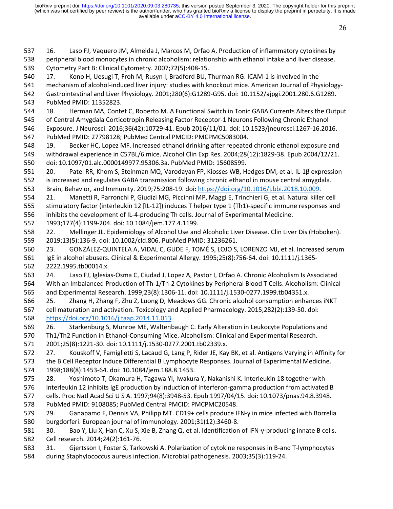537 16. Laso FJ, Vaquero JM, Almeida J, Marcos M, Orfao A. Production of inflammatory cytokines by 538 peripheral blood monocytes in chronic alcoholism: relationship with ethanol intake and liver disease.

540 17. Kono H, Uesugi T, Froh M, Rusyn I, Bradford BU, Thurman RG. ICAM-1 is involved in the

539 Cytometry Part B: Clinical Cytometry. 2007;72(5):408-15.

26

541 mechanism of alcohol-induced liver injury: studies with knockout mice. American Journal of Physiology-542 Gastrointestinal and Liver Physiology. 2001;280(6):G1289-G95. doi: 10.1152/ajpgi.2001.280.6.G1289. 543 PubMed PMID: 11352823. 544 18. Herman MA, Contet C, Roberto M. A Functional Switch in Tonic GABA Currents Alters the Output 545 of Central Amygdala Corticotropin Releasing Factor Receptor-1 Neurons Following Chronic Ethanol 546 Exposure. J Neurosci. 2016;36(42):10729-41. Epub 2016/11/01. doi: 10.1523/jneurosci.1267-16.2016. 547 PubMed PMID: 27798128; PubMed Central PMCID: PMCPMC5083004. 548 19. Becker HC, Lopez MF. Increased ethanol drinking after repeated chronic ethanol exposure and 549 withdrawal experience in C57BL/6 mice. Alcohol Clin Exp Res. 2004;28(12):1829-38. Epub 2004/12/21. 550 doi: 10.1097/01.alc.0000149977.95306.3a. PubMed PMID: 15608599. 551 20. Patel RR, Khom S, Steinman MQ, Varodayan FP, Kiosses WB, Hedges DM, et al. IL-1β expression 552 is increased and regulates GABA transmission following chronic ethanol in mouse central amygdala. 553 Brain, Behavior, and Immunity. 2019;75:208-19. doi: https://doi.org/10.1016/j.bbi.2018.10.009. 554 21. Manetti R, Parronchi P, Giudizi MG, Piccinni MP, Maggi E, Trinchieri G, et al. Natural killer cell 555 stimulatory factor (interleukin 12 [IL-12]) induces T helper type 1 (Th1)-specific immune responses and 556 inhibits the development of IL-4-producing Th cells. Journal of Experimental Medicine. 557 1993;177(4):1199-204. doi: 10.1084/jem.177.4.1199. 558 22. Mellinger JL. Epidemiology of Alcohol Use and Alcoholic Liver Disease. Clin Liver Dis (Hoboken). 559 2019;13(5):136-9. doi: 10.1002/cld.806. PubMed PMID: 31236261. 560 23. GONZÁLEZ-QUINTELA A, VIDAL C, GUDE F, TOMÉ S, LOJO S, LORENZO MJ, et al. Increased serum 561 IgE in alcohol abusers. Clinical & Experimental Allergy. 1995;25(8):756-64. doi: 10.1111/j.1365- 562 2222.1995.tb00014.x. 563 24. Laso FJ, Iglesias-Osma C, Ciudad J, Lopez A, Pastor I, Orfao A. Chronic Alcoholism Is Associated 564 With an Imbalanced Production of Th-1/Th-2 Cytokines by Peripheral Blood T Cells. Alcoholism: Clinical 565 and Experimental Research. 1999;23(8):1306-11. doi: 10.1111/j.1530-0277.1999.tb04351.x. 566 25. Zhang H, Zhang F, Zhu Z, Luong D, Meadows GG. Chronic alcohol consumption enhances iNKT 567 cell maturation and activation. Toxicology and Applied Pharmacology. 2015;282(2):139-50. doi: 568 https://doi.org/10.1016/j.taap.2014.11.013. 569 26. Starkenburg S, Munroe ME, Waltenbaugh C. Early Alteration in Leukocyte Populations and 570 Th1/Th2 Function in Ethanol-Consuming Mice. Alcoholism: Clinical and Experimental Research. 571 2001;25(8):1221-30. doi: 10.1111/j.1530-0277.2001.tb02339.x. 572 27. Kouskoff V, Famiglietti S, Lacaud G, Lang P, Rider JE, Kay BK, et al. Antigens Varying in Affinity for 573 the B Cell Receptor Induce Differential B Lymphocyte Responses. Journal of Experimental Medicine. 574 1998;188(8):1453-64. doi: 10.1084/jem.188.8.1453. 575 28. Yoshimoto T, Okamura H, Tagawa YI, Iwakura Y, Nakanishi K. Interleukin 18 together with 576 interleukin 12 inhibits IgE production by induction of interferon-gamma production from activated B 577 cells. Proc Natl Acad Sci U S A. 1997;94(8):3948-53. Epub 1997/04/15. doi: 10.1073/pnas.94.8.3948. 578 PubMed PMID: 9108085; PubMed Central PMCID: PMCPMC20548. 579 29. Ganapamo F, Dennis VA, Philipp MT. CD19+ cells produce IFN-γ in mice infected with Borrelia 580 burgdorferi. European journal of immunology. 2001;31(12):3460-8. 581 30. Bao Y, Liu X, Han C, Xu S, Xie B, Zhang Q, et al. Identification of IFN-γ-producing innate B cells. 582 Cell research. 2014;24(2):161-76. 583 31. Gjertsson I, Foster S, Tarkowski A. Polarization of cytokine responses in B-and T-lymphocytes 584 during Staphylococcus aureus infection. Microbial pathogenesis. 2003;35(3):119-24.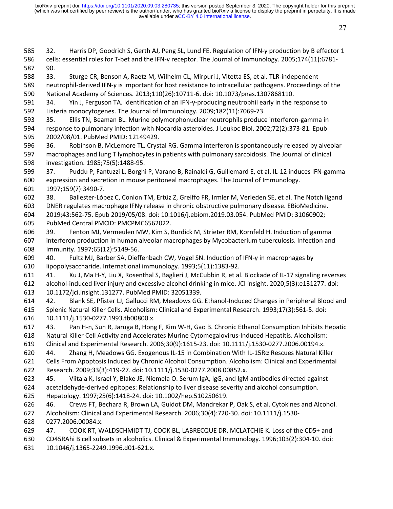585 32. Harris DP, Goodrich S, Gerth AJ, Peng SL, Lund FE. Regulation of IFN-γ production by B effector 1 586 cells: essential roles for T-bet and the IFN-γ receptor. The Journal of Immunology. 2005;174(11):6781-

588 33. Sturge CR, Benson A, Raetz M, Wilhelm CL, Mirpuri J, Vitetta ES, et al. TLR-independent

587 90.

27

589 neutrophil-derived IFN-γ is important for host resistance to intracellular pathogens. Proceedings of the 590 National Academy of Sciences. 2013;110(26):10711-6. doi: 10.1073/pnas.1307868110. 591 34. Yin J, Ferguson TA. Identification of an IFN-γ-producing neutrophil early in the response to 592 Listeria monocytogenes. The Journal of Immunology. 2009;182(11):7069-73. 593 35. Ellis TN, Beaman BL. Murine polymorphonuclear neutrophils produce interferon-gamma in 594 response to pulmonary infection with Nocardia asteroides. J Leukoc Biol. 2002;72(2):373-81. Epub 595 2002/08/01. PubMed PMID: 12149429. 596 36. Robinson B, McLemore TL, Crystal RG. Gamma interferon is spontaneously released by alveolar 597 macrophages and lung T lymphocytes in patients with pulmonary sarcoidosis. The Journal of clinical 598 investigation. 1985;75(5):1488-95. 599 37. Puddu P, Fantuzzi L, Borghi P, Varano B, Rainaldi G, Guillemard E, et al. IL-12 induces IFN-gamma 600 expression and secretion in mouse peritoneal macrophages. The Journal of Immunology. 601 1997;159(7):3490-7. 602 38. Ballester-López C, Conlon TM, Ertüz Z, Greiffo FR, Irmler M, Verleden SE, et al. The Notch ligand 603 DNER regulates macrophage IFNγ release in chronic obstructive pulmonary disease. EBioMedicine. 604 2019;43:562-75. Epub 2019/05/08. doi: 10.1016/j.ebiom.2019.03.054. PubMed PMID: 31060902; 605 PubMed Central PMCID: PMCPMC6562022. 606 39. Fenton MJ, Vermeulen MW, Kim S, Burdick M, Strieter RM, Kornfeld H. Induction of gamma 607 interferon production in human alveolar macrophages by Mycobacterium tuberculosis. Infection and 608 Immunity. 1997;65(12):5149-56. 609 40. Fultz MJ, Barber SA, Dieffenbach CW, Vogel SN. Induction of IFN-γ in macrophages by 610 lipopolysaccharide. International immunology. 1993;5(11):1383-92. 611 41. Xu J, Ma H-Y, Liu X, Rosenthal S, Baglieri J, McCubbin R, et al. Blockade of IL-17 signaling reverses 612 alcohol-induced liver injury and excessive alcohol drinking in mice. JCI insight. 2020;5(3):e131277. doi: 613 10.1172/jci.insight.131277. PubMed PMID: 32051339. 614 42. Blank SE, Pfister LJ, Gallucci RM, Meadows GG. Ethanol-Induced Changes in Peripheral Blood and 615 Splenic Natural Killer Cells. Alcoholism: Clinical and Experimental Research. 1993;17(3):561-5. doi: 616 10.1111/j.1530-0277.1993.tb00800.x. 617 43. Pan H-n, Sun R, Jaruga B, Hong F, Kim W-H, Gao B. Chronic Ethanol Consumption Inhibits Hepatic 618 Natural Killer Cell Activity and Accelerates Murine Cytomegalovirus-Induced Hepatitis. Alcoholism: 619 Clinical and Experimental Research. 2006;30(9):1615-23. doi: 10.1111/j.1530-0277.2006.00194.x. 620 44. Zhang H, Meadows GG. Exogenous IL-15 in Combination With IL-15Rα Rescues Natural Killer 621 Cells From Apoptosis Induced by Chronic Alcohol Consumption. Alcoholism: Clinical and Experimental 622 Research. 2009;33(3):419-27. doi: 10.1111/j.1530-0277.2008.00852.x. 623 45. Viitala K, Israel Y, Blake JE, Niemela O. Serum IgA, IgG, and IgM antibodies directed against 624 acetaldehyde-derived epitopes: Relationship to liver disease severity and alcohol consumption. 625 Hepatology. 1997;25(6):1418-24. doi: 10.1002/hep.510250619. 626 46. Crews FT, Bechara R, Brown LA, Guidot DM, Mandrekar P, Oak S, et al. Cytokines and Alcohol. 627 Alcoholism: Clinical and Experimental Research. 2006;30(4):720-30. doi: 10.1111/j.1530- 628 0277.2006.00084.x. 629 47. COOK RT, WALDSCHMIDT TJ, COOK BL, LABRECQUE DR, MCLATCHIE K. Loss of the CD5+ and 630 CD45RAhi B cell subsets in alcoholics. Clinical & Experimental Immunology. 1996;103(2):304-10. doi: 631 10.1046/j.1365-2249.1996.d01-621.x.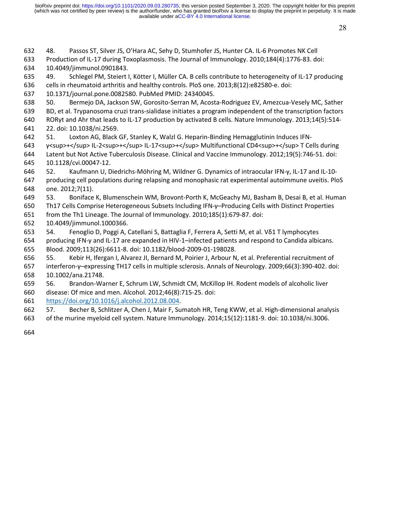28

632 48. Passos ST, Silver JS, O'Hara AC, Sehy D, Stumhofer JS, Hunter CA. IL-6 Promotes NK Cell 633 Production of IL-17 during Toxoplasmosis. The Journal of Immunology. 2010;184(4):1776-83. doi:

634 10.4049/jimmunol.0901843.

635 49. Schlegel PM, Steiert I, Kötter I, Müller CA. B cells contribute to heterogeneity of IL-17 producing 636 cells in rheumatoid arthritis and healthy controls. PloS one. 2013;8(12):e82580-e. doi:

637 10.1371/journal.pone.0082580. PubMed PMID: 24340045.

638 50. Bermejo DA, Jackson SW, Gorosito-Serran M, Acosta-Rodriguez EV, Amezcua-Vesely MC, Sather

639 BD, et al. Trypanosoma cruzi trans-sialidase initiates a program independent of the transcription factors 640 RORγt and Ahr that leads to IL-17 production by activated B cells. Nature Immunology. 2013;14(5):514-

641 22. doi: 10.1038/ni.2569.

642 51. Loxton AG, Black GF, Stanley K, Walzl G. Heparin-Binding Hemagglutinin Induces IFN-

- 643 γ<sup>+</sup> IL-2<sup>+</sup> IL-17<sup>+</sup> Multifunctional CD4<sup>+</sup> T Cells during 644 Latent but Not Active Tuberculosis Disease. Clinical and Vaccine Immunology. 2012;19(5):746-51. doi: 645 10.1128/cvi.00047-12.
- 646 52. Kaufmann U, Diedrichs-Möhring M, Wildner G. Dynamics of intraocular IFN-γ, IL-17 and IL-10- 647 producing cell populations during relapsing and monophasic rat experimental autoimmune uveitis. PloS 648 one. 2012;7(11).

649 53. Boniface K, Blumenschein WM, Brovont-Porth K, McGeachy MJ, Basham B, Desai B, et al. Human

650 Th17 Cells Comprise Heterogeneous Subsets Including IFN-γ–Producing Cells with Distinct Properties

651 from the Th1 Lineage. The Journal of Immunology. 2010;185(1):679-87. doi:

652 10.4049/jimmunol.1000366.

653 54. Fenoglio D, Poggi A, Catellani S, Battaglia F, Ferrera A, Setti M, et al. Vδ1 T lymphocytes

654 producing IFN-γ and IL-17 are expanded in HIV-1–infected patients and respond to Candida albicans. 655 Blood. 2009;113(26):6611-8. doi: 10.1182/blood-2009-01-198028.

656 55. Kebir H, Ifergan I, Alvarez JI, Bernard M, Poirier J, Arbour N, et al. Preferential recruitment of 657 interferon-γ–expressing TH17 cells in multiple sclerosis. Annals of Neurology. 2009;66(3):390-402. doi: 658 10.1002/ana.21748.

659 56. Brandon-Warner E, Schrum LW, Schmidt CM, McKillop IH. Rodent models of alcoholic liver

660 disease: Of mice and men. Alcohol. 2012;46(8):715-25. doi:

661 https://doi.org/10.1016/j.alcohol.2012.08.004.

662 57. Becher B, Schlitzer A, Chen J, Mair F, Sumatoh HR, Teng KWW, et al. High-dimensional analysis

663 of the murine myeloid cell system. Nature Immunology. 2014;15(12):1181-9. doi: 10.1038/ni.3006.

664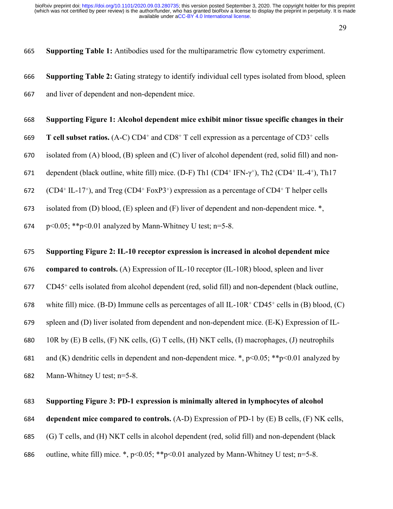29

665 **Supporting Table 1:** Antibodies used for the multiparametric flow cytometry experiment.

- 666 **Supporting Table 2:** Gating strategy to identify individual cell types isolated from blood, spleen 667 and liver of dependent and non-dependent mice.
- 668 **Supporting Figure 1: Alcohol dependent mice exhibit minor tissue specific changes in their**
- 669 T cell subset ratios. (A-C) CD4<sup>+</sup> and CD8<sup>+</sup> T cell expression as a percentage of CD3<sup>+</sup> cells
- 670 isolated from (A) blood, (B) spleen and (C) liver of alcohol dependent (red, solid fill) and non-
- 671 dependent (black outline, white fill) mice. (D-F) Th1 (CD4<sup>+</sup> IFN- $\gamma$ <sup>+</sup>), Th2 (CD4<sup>+</sup> IL-4<sup>+</sup>), Th17
- 672 (CD4<sup>+</sup> IL-17<sup>+</sup>), and Treg (CD4<sup>+</sup> FoxP3<sup>+</sup>) expression as a percentage of CD4<sup>+</sup> T helper cells
- 673 isolated from (D) blood, (E) spleen and (F) liver of dependent and non-dependent mice.  $\ast$ ,
- 674 p  $<0.05$ ; \*\*p  $<0.01$  analyzed by Mann-Whitney U test; n=5-8.

## 675 **Supporting Figure 2: IL-10 receptor expression is increased in alcohol dependent mice**

676 **compared to controls.** (A) Expression of IL-10 receptor (IL-10R) blood, spleen and liver

- 677 CD45<sup>+</sup> cells isolated from alcohol dependent (red, solid fill) and non-dependent (black outline,
- 678 white fill) mice. (B-D) Immune cells as percentages of all IL-10R<sup>+</sup> CD45<sup>+</sup> cells in (B) blood, (C)
- 679 spleen and (D) liver isolated from dependent and non-dependent mice. (E-K) Expression of IL-
- 680 10R by (E) B cells, (F) NK cells, (G) T cells, (H) NKT cells, (I) macrophages, (J) neutrophils

681 and (K) dendritic cells in dependent and non-dependent mice.  $\ast$ , p<0.05;  $\ast$  $\ast$ p<0.01 analyzed by

682 Mann-Whitney U test; n=5-8.

## 683 **Supporting Figure 3: PD-1 expression is minimally altered in lymphocytes of alcohol**

## 684 **dependent mice compared to controls.** (A-D) Expression of PD-1 by (E) B cells, (F) NK cells,

685 (G) T cells, and (H) NKT cells in alcohol dependent (red, solid fill) and non-dependent (black

686 outline, white fill) mice. \*,  $p<0.05$ ; \*\* $p<0.01$  analyzed by Mann-Whitney U test; n=5-8.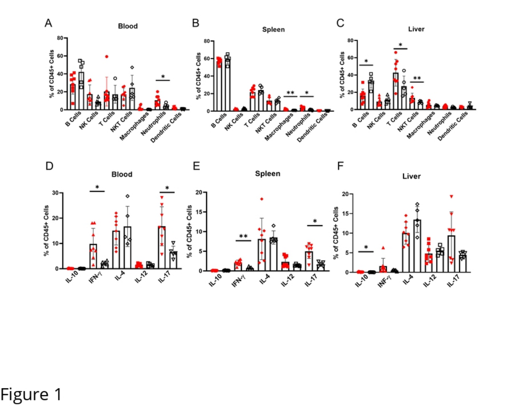

Figure 1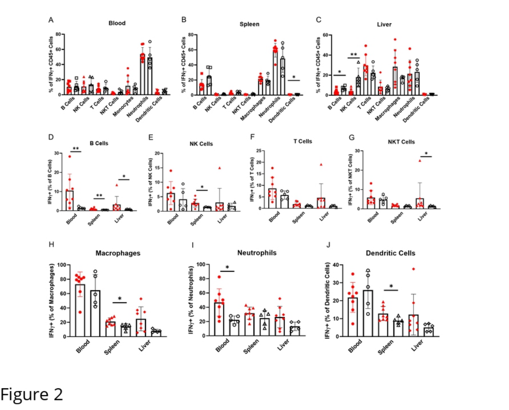



**Macrophages** 100

۰

႙

Spieer

**Vyet** 





Neutrophils



## Figure 2

 $H$ 

IFN<sub>7</sub>+ (% of Macrophages)

80

60

40

20

 $\mathbf 0$ 

shoot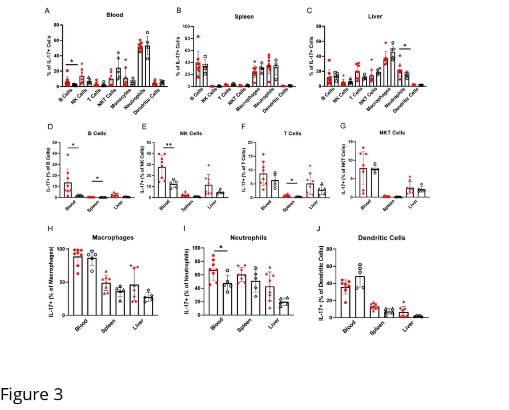

Figure 3